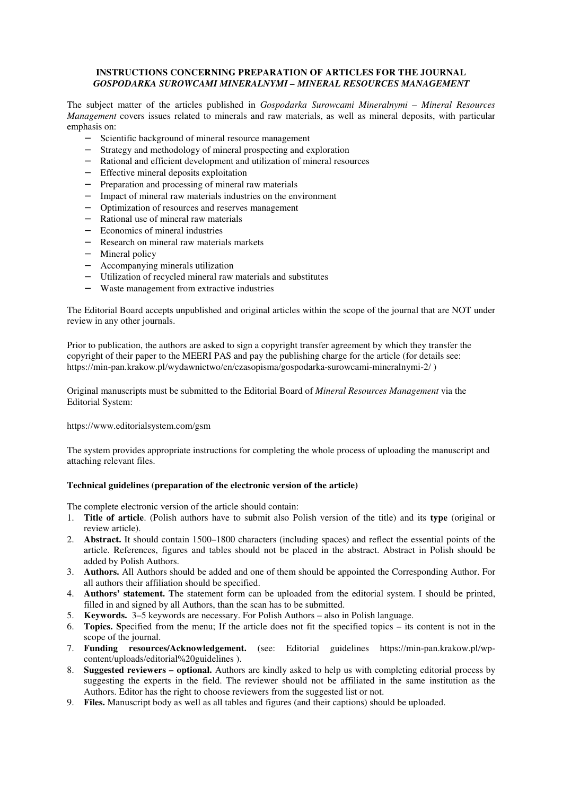### **INSTRUCTIONS CONCERNING PREPARATION OF ARTICLES FOR THE JOURNAL**  *GOSPODARKA SUROWCAMI MINERALNYMI – MINERAL RESOURCES MANAGEMENT*

The subject matter of the articles published in *Gospodarka Surowcami Mineralnymi – Mineral Resources Management* covers issues related to minerals and raw materials, as well as mineral deposits, with particular emphasis on:

- − Scientific background of mineral resource management
- − Strategy and methodology of mineral prospecting and exploration
- − Rational and efficient development and utilization of mineral resources
- − Effective mineral deposits exploitation
- − Preparation and processing of mineral raw materials
- − Impact of mineral raw materials industries on the environment
- − Optimization of resources and reserves management
- − Rational use of mineral raw materials
- − Economics of mineral industries
- − Research on mineral raw materials markets
- − Mineral policy
- − Accompanying minerals utilization
- − Utilization of recycled mineral raw materials and substitutes
- − Waste management from extractive industries

The Editorial Board accepts unpublished and original articles within the scope of the journal that are NOT under review in any other journals.

Prior to publication, the authors are asked to sign a copyright transfer agreement by which they transfer the copyright of their paper to the MEERI PAS and pay the publishing charge for the article (for details see: https://min-pan.krakow.pl/wydawnictwo/en/czasopisma/gospodarka-surowcami-mineralnymi-2/ )

Original manuscripts must be submitted to the Editorial Board of *Mineral Resources Management* via the Editorial System:

https://www.editorialsystem.com/gsm

The system provides appropriate instructions for completing the whole process of uploading the manuscript and attaching relevant files.

# **Technical guidelines (preparation of the electronic version of the article)**

The complete electronic version of the article should contain:

- 1. **Title of article**. (Polish authors have to submit also Polish version of the title) and its **type** (original or review article).
- 2. **Abstract.** It should contain 1500–1800 characters (including spaces) and reflect the essential points of the article. References, figures and tables should not be placed in the abstract. Abstract in Polish should be added by Polish Authors.
- 3. **Authors.** All Authors should be added and one of them should be appointed the Corresponding Author. For all authors their affiliation should be specified.
- 4. **Authors' statement. T**he statement form can be uploaded from the editorial system. I should be printed, filled in and signed by all Authors, than the scan has to be submitted.
- 5. **Keywords.** 3–5 keywords are necessary. For Polish Authors also in Polish language.
- 6. **Topics. S**pecified from the menu; If the article does not fit the specified topics its content is not in the scope of the journal.
- 7. **Funding resources/Acknowledgement.** (see: Editorial guidelines https://min-pan.krakow.pl/wpcontent/uploads/editorial%20guidelines ).
- 8. **Suggested reviewers optional.** Authors are kindly asked to help us with completing editorial process by suggesting the experts in the field. The reviewer should not be affiliated in the same institution as the Authors. Editor has the right to choose reviewers from the suggested list or not.
- 9. **Files.** Manuscript body as well as all tables and figures (and their captions) should be uploaded.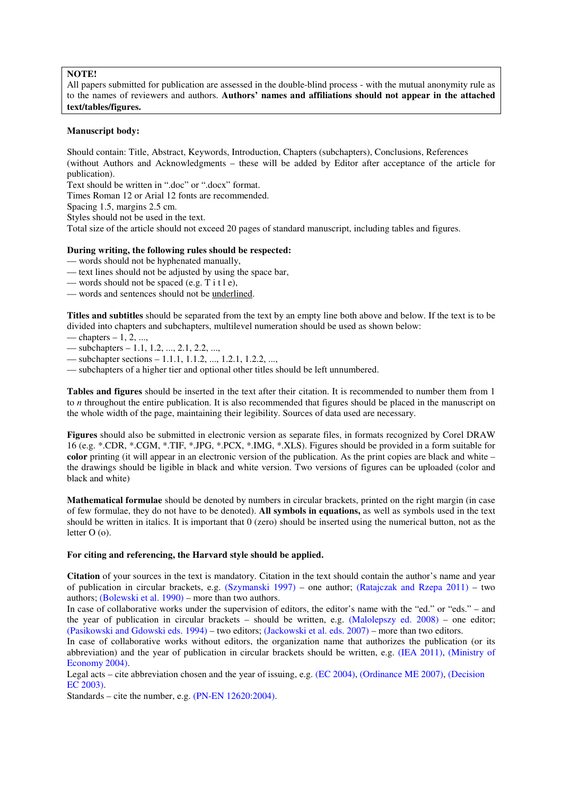# **NOTE!**

All papers submitted for publication are assessed in the double-blind process - with the mutual anonymity rule as to the names of reviewers and authors. **Authors' names and affiliations should not appear in the attached text/tables/figures.**

### **Manuscript body:**

Should contain: Title, Abstract, Keywords, Introduction, Chapters (subchapters), Conclusions, References (without Authors and Acknowledgments – these will be added by Editor after acceptance of the article for publication).

Text should be written in ".doc" or ".docx" format.

Times Roman 12 or Arial 12 fonts are recommended.

Spacing 1.5, margins 2.5 cm.

Styles should not be used in the text.

Total size of the article should not exceed 20 pages of standard manuscript, including tables and figures.

### **During writing, the following rules should be respected:**

— words should not be hyphenated manually,

- text lines should not be adjusted by using the space bar,
- words should not be spaced (e.g.  $T$  i t l e),
- words and sentences should not be underlined.

**Titles and subtitles** should be separated from the text by an empty line both above and below. If the text is to be divided into chapters and subchapters, multilevel numeration should be used as shown below:

- chapters  $-1, 2, \ldots$
- subchapters  $-1.1, 1.2, ..., 2.1, 2.2, ...$

— subchapter sections – 1.1.1, 1.1.2, ..., 1.2.1, 1.2.2, ...,

— subchapters of a higher tier and optional other titles should be left unnumbered.

**Tables and figures** should be inserted in the text after their citation. It is recommended to number them from 1 to *n* throughout the entire publication. It is also recommended that figures should be placed in the manuscript on the whole width of the page, maintaining their legibility. Sources of data used are necessary.

**Figures** should also be submitted in electronic version as separate files, in formats recognized by Corel DRAW 16 (e.g. \*.CDR, \*.CGM, \*.TIF, \*.JPG, \*.PCX, \*.IMG, \*.XLS). Figures should be provided in a form suitable for **color** printing (it will appear in an electronic version of the publication. As the print copies are black and white – the drawings should be ligible in black and white version. Two versions of figures can be uploaded (color and black and white)

**Mathematical formulae** should be denoted by numbers in circular brackets, printed on the right margin (in case of few formulae, they do not have to be denoted). **All symbols in equations,** as well as symbols used in the text should be written in italics. It is important that 0 (zero) should be inserted using the numerical button, not as the letter O (o).

#### **For citing and referencing, the Harvard style should be applied.**

**Citation** of your sources in the text is mandatory. Citation in the text should contain the author's name and year of publication in circular brackets, e.g. (Szymanski 1997) – one author; (Ratajczak and Rzepa 2011) – two authors; (Bolewski et al. 1990) – more than two authors.

In case of collaborative works under the supervision of editors, the editor's name with the "ed." or "eds." – and the year of publication in circular brackets – should be written, e.g. (Malolepszy ed. 2008) – one editor; (Pasikowski and Gdowski eds. 1994) – two editors; (Jackowski et al. eds. 2007) – more than two editors.

In case of collaborative works without editors, the organization name that authorizes the publication (or its abbreviation) and the year of publication in circular brackets should be written, e.g. (IEA 2011), (Ministry of Economy 2004).

Legal acts – cite abbreviation chosen and the year of issuing, e.g. (EC 2004), (Ordinance ME 2007), (Decision EC 2003).

Standards – cite the number, e.g. (PN-EN 12620:2004).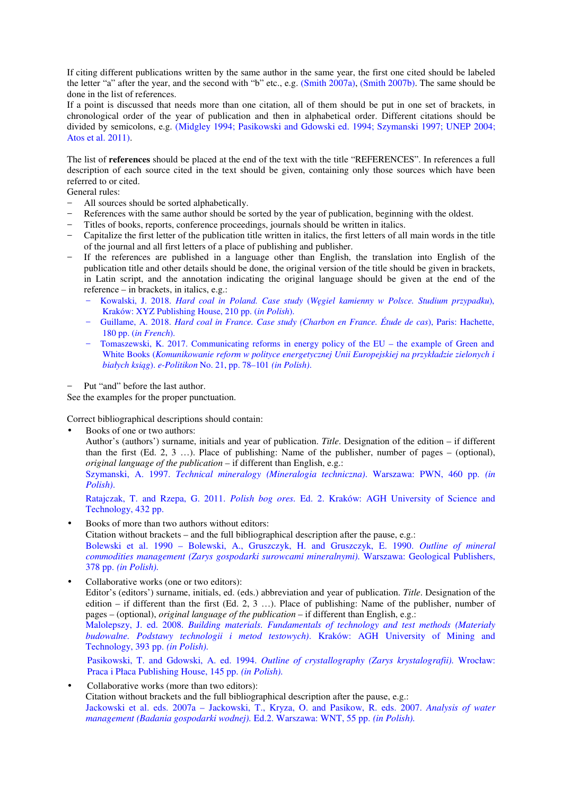If citing different publications written by the same author in the same year, the first one cited should be labeled the letter "a" after the year, and the second with "b" etc., e.g. (Smith 2007a), (Smith 2007b). The same should be done in the list of references.

If a point is discussed that needs more than one citation, all of them should be put in one set of brackets, in chronological order of the year of publication and then in alphabetical order. Different citations should be divided by semicolons, e.g. (Midgley 1994; Pasikowski and Gdowski ed. 1994; Szymanski 1997; UNEP 2004; Atos et al. 2011).

The list of **references** should be placed at the end of the text with the title "REFERENCES". In references a full description of each source cited in the text should be given, containing only those sources which have been referred to or cited.

General rules:

- All sources should be sorted alphabetically.
- References with the same author should be sorted by the year of publication, beginning with the oldest.
- Titles of books, reports, conference proceedings, journals should be written in italics.
- − Capitalize the first letter of the publication title written in italics, the first letters of all main words in the title of the journal and all first letters of a place of publishing and publisher.
- If the references are published in a language other than English, the translation into English of the publication title and other details should be done, the original version of the title should be given in brackets, in Latin script, and the annotation indicating the original language should be given at the end of the reference – in brackets, in italics, e.g.:
	- − Kowalski, J. 2018. *Hard coal in Poland. Case study* (*Węgiel kamienny w Polsce. Studium przypadku*), Kraków: XYZ Publishing House, 210 pp. (*in Polish*).
	- − Guillame, A. 2018. *Hard coal in France. Case study (Charbon en France. Étude de cas*), Paris: Hachette, 180 pp. (*in French*).
	- − Tomaszewski, K. 2017. Communicating reforms in energy policy of the EU the example of Green and White Books (*Komunikowanie reform w polityce energetycznej Unii Europejskiej na przykładzie zielonych i białych ksiąg*). *e-Politikon* No. 21, pp. 78–101 *(in Polish)*.

Put "and" before the last author.

See the examples for the proper punctuation.

Correct bibliographical descriptions should contain:

Books of one or two authors:

Author's (authors') surname, initials and year of publication. *Title*. Designation of the edition – if different than the first (Ed. 2, 3 …). Place of publishing: Name of the publisher, number of pages – (optional), *original language of the publication* – if different than English, e.g.:

Szymanski, A. 1997. *Technical mineralogy (Mineralogia techniczna)*. Warszawa: PWN, 460 pp. *(in Polish)*.

Ratajczak, T. and Rzepa, G. 2011. *Polish bog ores.* Ed. 2. Kraków: AGH University of Science and Technology, 432 pp.

- Books of more than two authors without editors:
- Citation without brackets and the full bibliographical description after the pause, e.g.:

Bolewski et al. 1990 – Bolewski, A., Gruszczyk, H. and Gruszczyk, E. 1990. *Outline of mineral commodities management (Zarys gospodarki surowcami mineralnymi).* Warszawa: Geological Publishers, 378 pp. *(in Polish).*

- Collaborative works (one or two editors): Editor's (editors') surname, initials, ed. (eds.) abbreviation and year of publication. *Title*. Designation of the edition – if different than the first (Ed. 2, 3 …). Place of publishing: Name of the publisher, number of pages – (optional), *original language of the publication* – if different than English, e.g.: Malolepszy, J. ed. 2008*. Building materials. Fundamentals of technology and test methods (Materiały budowalne. Podstawy technologii i metod testowych)*. Kraków: AGH University of Mining and Technology, 393 pp. *(in Polish).*  Pasikowski, T. and Gdowski, A. ed. 1994. *Outline of crystallography (Zarys krystalografii).* Wrocław: Praca i Płaca Publishing House, 145 pp. *(in Polish).*
- Collaborative works (more than two editors): Citation without brackets and the full bibliographical description after the pause, e.g.: Jackowski et al. eds. 2007a – Jackowski, T., Kryza, O. and Pasikow, R. eds. 2007. *Analysis of water management (Badania gospodarki wodnej).* Ed.2. Warszawa: WNT, 55 pp. *(in Polish).*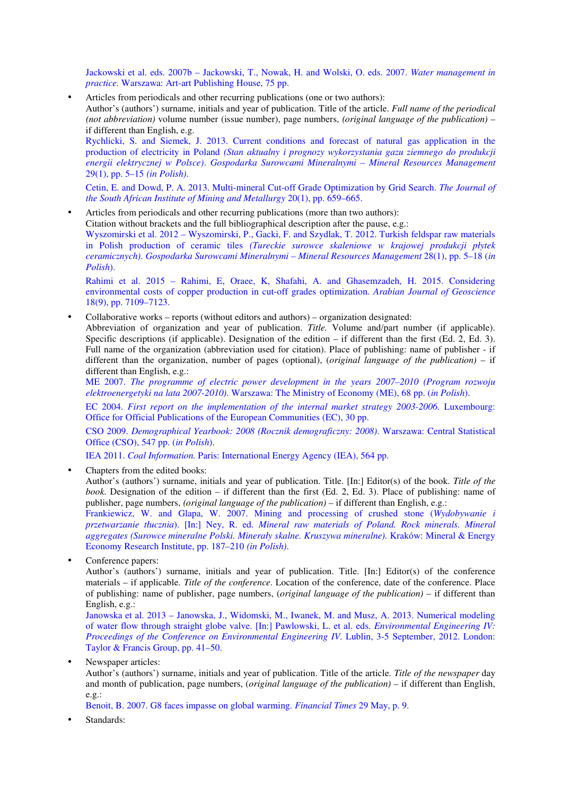Jackowski et al. eds. 2007b – Jackowski, T., Nowak, H. and Wolski, O. eds. 2007. *Water management in practice.* Warszawa: Art-art Publishing House, 75 pp.

• Articles from periodicals and other recurring publications (one or two authors): Author's (authors') surname, initials and year of publication. Title of the article. *Full name of the periodical (not abbreviation)* volume number (issue number), page numbers, *(original language of the publication)* – if different than English, e.g. Rychlicki, S. and Siemek, J. 2013. Current conditions and forecast of natural gas application in the production of electricity in Poland *(Stan aktualny i prognozy wykorzystania gazu ziemnego do produkcji* 

*energii elektrycznej w Polsce)*. *Gospodarka Surowcami Mineralnymi – Mineral Resources Management* 29(1), pp. 5–15 *(in Polish)*.

Cetin, E. and Dowd, P. A. 2013. Multi-mineral Cut-off Grade Optimization by Grid Search. *The Journal of the South African Institute of Mining and Metallurgy* 20(1), pp. 659–665.

• Articles from periodicals and other recurring publications (more than two authors):

Citation without brackets and the full bibliographical description after the pause, e.g.:

Wyszomirski et al. 2012 – Wyszomirski, P., Gacki, F. and Szydlak, T. 2012. Turkish feldspar raw materials in Polish production of ceramic tiles *(Tureckie surowce skaleniowe w krajowej produkcji płytek ceramicznych)*. *Gospodarka Surowcami Mineralnymi – Mineral Resources Management* 28(1), pp. 5–18 (*in Polish*).

Rahimi et al. 2015 – Rahimi, E, Oraee, K, Shafahi, A. and Ghasemzadeh, H. 2015. Considering environmental costs of copper production in cut-off grades optimization. *Arabian Journal of Geoscience* 18(9), pp. 7109–7123.

• Collaborative works – reports (without editors and authors) – organization designated: Abbreviation of organization and year of publication. *Title.* Volume and/part number (if applicable). Specific descriptions (if applicable). Designation of the edition – if different than the first  $(Ed, 2, Ed, 3)$ . Full name of the organization (abbreviation used for citation). Place of publishing: name of publisher - if different than the organization, number of pages (optional), (*original language of the publication)* – if different than English, e.g.:

ME 2007. *The programme of electric power development in the years 2007–2010 (Program rozwoju elektroenergetyki na lata 2007-2010)*. Warszawa: The Ministry of Economy (ME), 68 pp. (*in Polish*).

EC 2004. *First report on the implementation of the internal market strategy 2003-2006.* Luxembourg: Office for Official Publications of the European Communities (EC), 30 pp.

CSO 2009. *Demographical Yearbook: 2008 (Rocznik demograficzny: 2008)*. Warszawa: Central Statistical Office (CSO), 547 pp. (*in Polish*).

IEA 2011. *Coal Information.* Paris: International Energy Agency (IEA), 564 pp.

• Chapters from the edited books:

Author's (authors') surname, initials and year of publication. Title. [In:] Editor(s) of the book. *Title of the book*. Designation of the edition – if different than the first (Ed. 2, Ed. 3). Place of publishing: name of publisher, page numbers, *(original language of the publication)* – if different than English, e.g.:

Frankiewicz, W. and Glapa, W. 2007. Mining and processing of crushed stone (*Wydobywanie i przetwarzanie tłucznia*). [In:] Ney, R. ed. *Mineral raw materials of Poland. Rock minerals. Mineral aggregates (Surowce mineralne Polski. Minerały skalne. Kruszywa mineralne).* Kraków: Mineral & Energy Economy Research Institute, pp. 187–210 *(in Polish)*.

Conference papers:

Author's (authors') surname, initials and year of publication. Title. [In:] Editor(s) of the conference materials – if applicable. *Title of the conference*. Location of the conference, date of the conference. Place of publishing: name of publisher, page numbers, (*original language of the publication)* – if different than English, e.g.:

Janowska et al. 2013 – Janowska, J., Widomski, M., Iwanek, M. and Musz, A. 2013. Numerical modeling of water flow through straight globe valve. [In:] Pawlowski, L. et al. eds. *Environmental Engineering IV: Proceedings of the Conference on Environmental Engineering IV.* Lublin, 3-5 September, 2012. London: Taylor & Francis Group, pp. 41–50.

Newspaper articles:

Author's (authors') surname, initials and year of publication. Title of the article. *Title of the newspaper* day and month of publication, page numbers, (*original language of the publication)* – if different than English, e.g.:

Benoit, B. 2007. G8 faces impasse on global warming. *Financial Times* 29 May, p. 9.

Standards: